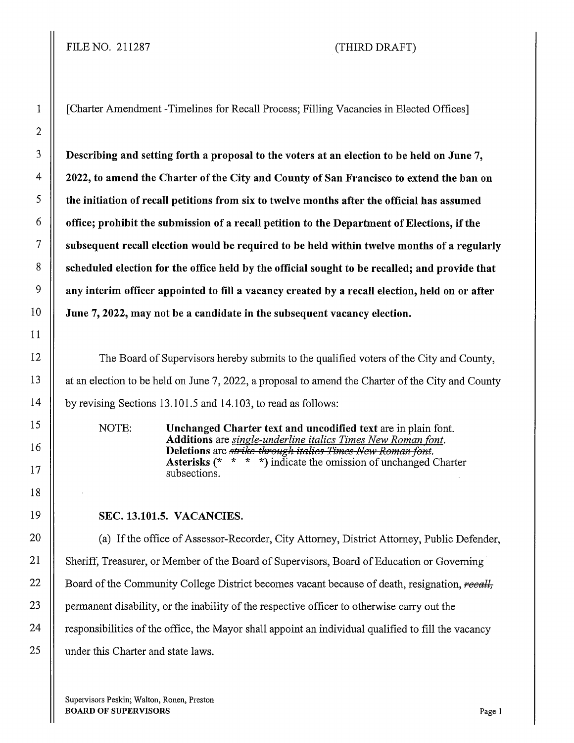1 [Charter Amendment -Timelines for Recall Process; Filling Vacancies in Elected Offices]

 $3 \parallel$  Describing and setting forth a proposal to the voters at an election to be held on June 7, 4 | 2022, to amend the Charter of the City and County of San Francisco to extend the ban on  $5 \parallel$  the initiation of recall petitions from six to twelve months after the official has assumed  $\begin{bmatrix} 6 \end{bmatrix}$  office; prohibit the submission of a recall petition to the Department of Elections, if the  $7$  | subsequent recall election would be required to be held within twelve months of a regularly 8 | scheduled election for the office held by the official sought to be recalled; and provide that  $9 \parallel$  any interim officer appointed to fill a vacancy created by a recall election, held on or after  $10$  June 7, 2022, may not be a candidate in the subsequent vacancy election.

12 The Board of Supervisors hereby submits to the qualified voters of the City and County, 13 | at an election to be held on June 7, 2022, a proposal to amend the Charter of the City and County 14 | by revising Sections 13.101.5 and 14.103, to read as follows:

> NOTE: Unchanged Charter text and uncodified text are in plain font. Additions are *single-underline italics Times New Roman font.*  Deletions are *strike-through italics-Times-New Roman font.* Asterisks (\* \* \* \*) indicate the omission of unchanged Charter subsections.

## 19 SEC. 13.101.5. VACANCIES.

20 (a) If the office of Assessor-Recorder, City Attorney, District Attorney, Public Defender, 21 | Sheriff, Treasurer, or Member of the Board of Supervisors, Board of Education or Governing 22 **Solution** Board of the Community College District becomes vacant because of death, resignation, *recall*, 23 **permanent disability, or the inability of the respective officer to otherwise carry out the** 24 | responsibilities of the office, the Mayor shall appoint an individual qualified to fill the vacancy 25 | under this Charter and state laws.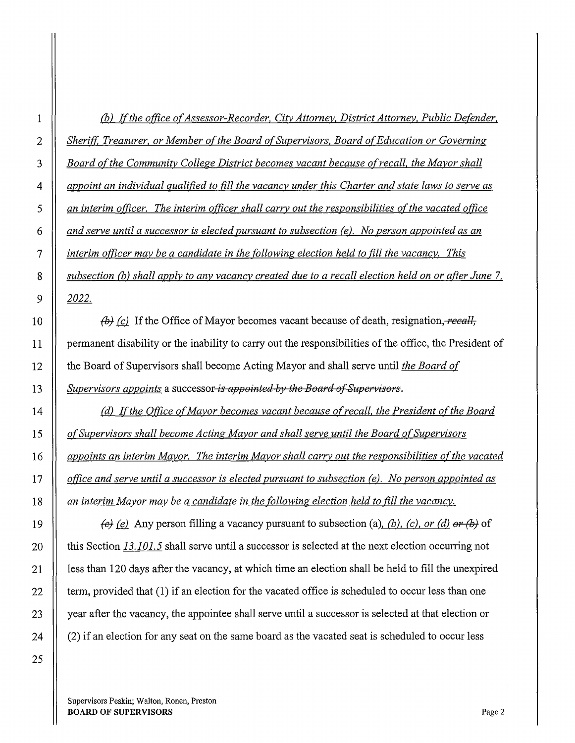*(b) ![the office of Assessor-Recorder, City Attorney, District Attorney, Public Defender, Sheriff Treasurer, or Member of the Board of Supervisors. Board of Education or Governing Board of the Community College District becomes vacant because of recall. the Mayor shall appoint an individual qualified to fill the vacancy under this Charter and state laws to serve as an interim officer. The interim officer shall carry out the responsibilities of the vacated office and serve until a successor is elected pursuant to subsection (e). No person appointed as an interim officer may be a candidate in the following election held to fill the vacancy. This subsection (b) shall apply to any vacancy created due to a recall election held on or after June* 7. *2022.* 

*fb)* (c) If the Office of Mayor becomes vacant because of death, resignation, *recall*, 11 permanent disability or the inability to carry out the responsibilities of the office, the President of 12 the Board of Supervisors shall become Acting Mayor and shall serve until *the Board of*  **Supervisors appoints a successor** *is appointed by the Board of Supervisors.* 

 $\parallel$  (d) If the Office of Mayor becomes vacant because of recall, the <u>President of the Board</u> *of Supervisors shall become Acting Mayor and shall serve until the Board of Supervisors appoints an interim Mayor. The interim Mayor shall carry out the responsibilities of the vacated office and serve until a successor is elected pursuant to subsection (e). No person appointed as an interim Mayor may be a candidate in the following election held to fill the vacancy.* 

 $\parallel$  *(e) (e)* Any person filling a vacancy pursuant to subsection (a), *(b), (c), or (d) or (b)* of **this Section 13.101.5** shall serve until a successor is selected at the next election occurring not 21 | less than 120 days after the vacancy, at which time an election shall be held to fill the unexpired  $\parallel$  term, provided that (1) if an election for the vacated office is scheduled to occur less than one 23 year after the vacancy, the appointee shall serve until a successor is selected at that election or  $\parallel$  (2) if an election for any seat on the same board as the vacated seat is scheduled to occur less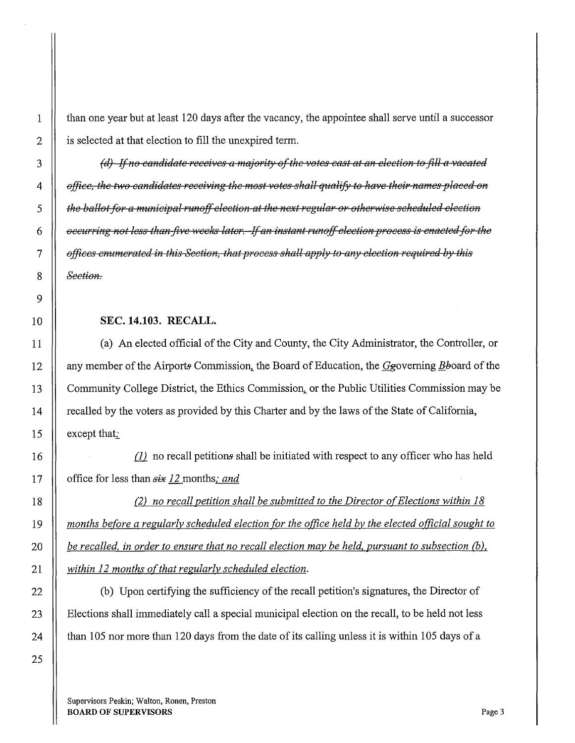1 than one year but at least 120 days after the vacancy, the appointee shall serve until a successor 2 | is selected at that election to fill the unexpired term.

*(d) Ifno amdidate receives a mejority of the votes cast at an election to fill a vacated deffice, the two candidates receiving the most votes shall qualify to have their names placed on*  $\frac{1}{2}$  $\parallel$  the ballot for a municipal runoff election at the next regular or otherwise scheduled election *occurring not less than five weeks later. If an instant runoff election process is enacted for the* $\frac{1}{2}$ *afficcs enumerated in this Section, that process shall apply* to *any election required by this Section.* 

## 10 SEC. **14.103. RECALL.**

11 (a) An elected official of the City and County, the City Administrator, the Controller, or 12 | any member of the Airports Commission, the Board of Education, the  $G$ governing  $B$ board of the 13 Community College District, the Ethics Commission, or the Public Utilities Commission may be 14 **Figure 2** recalled by the voters as provided by this Charter and by the laws of the State of California, 15 | except that:

16 **d no** recall petitions shall be initiated with respect to any officer who has held 17 **d** office for less than  $six$  12 months; and

{2) *no recall petition shall be submitted to the Director o[Elections within 18 months before a regularly scheduled election for the office held by the elected official sought to be recalled, in order to ensure that no recall election may be held, pursuant to subsection* {b), *within 12 months of that regularly scheduled election.* 

22 (b) Upon certifying the sufficiency of the recall petition's signatures, the Director of 23 Elections shall immediately call a special municipal election on the recall, to be held not less 24  $\parallel$  than 105 nor more than 120 days from the date of its calling unless it is within 105 days of a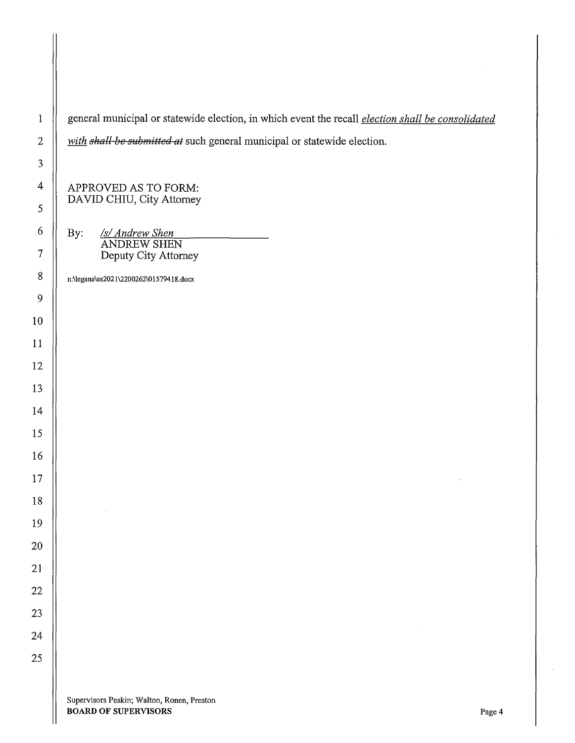1 general municipal or statewide election, in which event the recall *election shall be consolidated with shall be submitted at* such general municipal or statewide election. APPROVED AS TO FORM: DAVID CHIU, City Attorney 6 By: *Isl Andrew Shen*  ANDREW SHEN 7 Deputy City Attorney n:\legana\as202l\2200262\01579418.docx